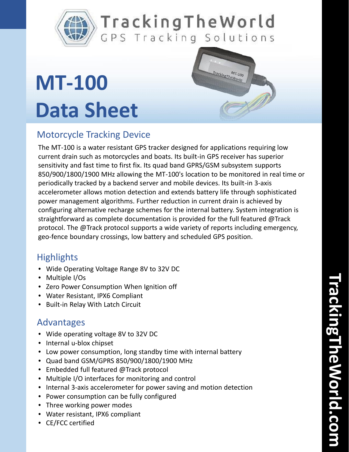

## TrackingTheWorld GPS Tracking Solutions

# **MT-100 Data Sheet**



## Motorcycle Tracking Device

The MT-100 is a water resistant GPS tracker designed for applications requiring low current drain such as motorcycles and boats. Its built-in GPS receiver has superior sensitivity and fast time to first fix. Its quad band GPRS/GSM subsystem supports 850/900/1800/1900 MHz allowing the MT-100's location to be monitored in real time or periodically tracked by a backend server and mobile devices. Its built-in 3-axis accelerometer allows motion detection and extends battery life through sophisticated power management algorithms. Further reduction in current drain is achieved by configuring alternative recharge schemes for the internal battery. System integration is straightforward as complete documentation is provided for the full featured @Track protocol. The @Track protocol supports a wide variety of reports including emergency, geo-fence boundary crossings, low battery and scheduled GPS position.

### **Highlights**

- Wide Operating Voltage Range 8V to 32V DC
- Multiple I/Os
- Zero Power Consumption When Ignition off
- Water Resistant, IPX6 Compliant
- Built-in Relay With Latch Circuit

### Advantages

- Wide operating voltage 8V to 32V DC
- Internal u-blox chipset
- Low power consumption, long standby time with internal battery
- Quad band GSM/GPRS 850/900/1800/1900 MHz
- Embedded full featured @Track protocol
- Multiple I/O interfaces for monitoring and control
- Internal 3-axis accelerometer for power saving and motion detection
- Power consumption can be fully configured
- Three working power modes
- Water resistant, IPX6 compliant
- CE/FCC certified